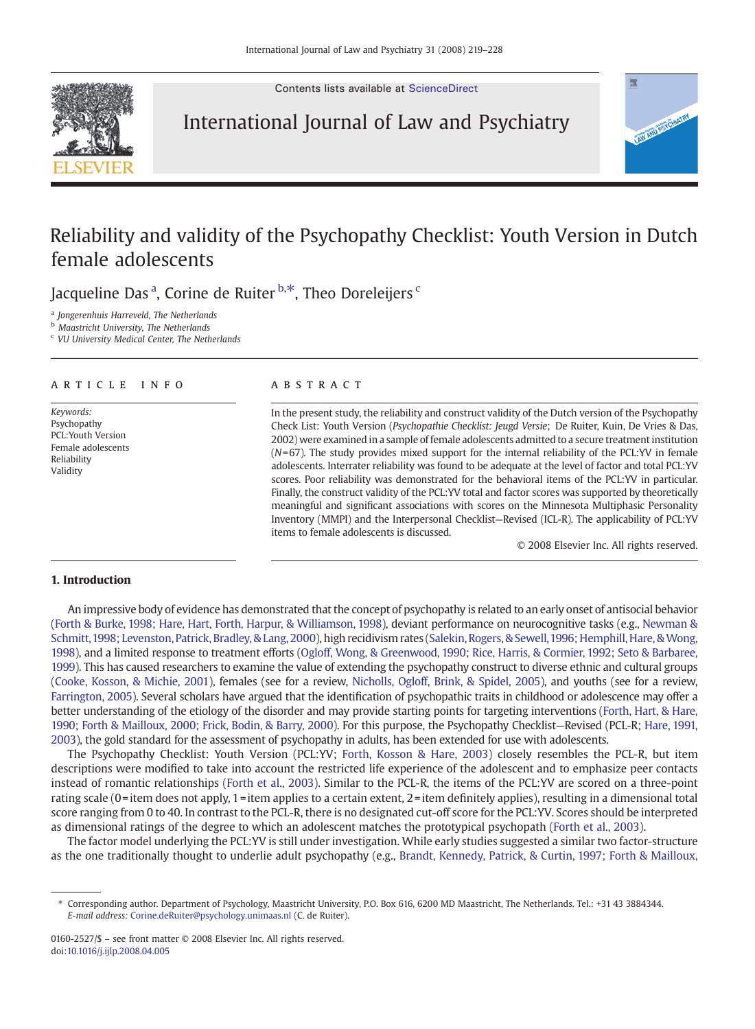Contents lists available at [ScienceDirect](http://www.sciencedirect.com/science/journal/01602527)



# International Journal of Law and Psychiatry

# Reliability and validity of the Psychopathy Checklist: Youth Version in Dutch female adolescents

Jacqueline Das <sup>a</sup>, Corine de Ruiter <sup>b,\*</sup>, Theo Doreleijers <sup>c</sup>

<sup>a</sup> Jongerenhuis Harreveld, The Netherlands

b Maastricht University, The Netherlands

<sup>c</sup> VU University Medical Center, The Netherlands

### article info abstract

Keywords: Psychopathy PCL:Youth Version Female adolescents Reliability Validity

In the present study, the reliability and construct validity of the Dutch version of the Psychopathy Check List: Youth Version (Psychopathie Checklist: Jeugd Versie; De Ruiter, Kuin, De Vries & Das, 2002) were examined in a sample of female adolescents admitted to a secure treatment institution  $(N=67)$ . The study provides mixed support for the internal reliability of the PCL:YV in female adolescents. Interrater reliability was found to be adequate at the level of factor and total PCL:YV scores. Poor reliability was demonstrated for the behavioral items of the PCL:YV in particular. Finally, the construct validity of the PCL:YV total and factor scores was supported by theoretically meaningful and significant associations with scores on the Minnesota Multiphasic Personality Inventory (MMPI) and the Interpersonal Checklist—Revised (ICL-R). The applicability of PCL:YV items to female adolescents is discussed.

© 2008 Elsevier Inc. All rights reserved.

# 1. Introduction

An impressive body of evidence has demonstrated that the concept of psychopathy is related to an early onset of antisocial behavior ([Forth & Burke, 1998; Hare, Hart, Forth, Harpur, & Williamson, 1998](#page-8-0)), deviant performance on neurocognitive tasks (e.g., [Newman &](#page-9-0) [Schmitt,1998; Levenston, Patrick, Bradley, & Lang, 2000\)](#page-9-0), high recidivism rates [\(Salekin, Rogers, & Sewell,1996; Hemphill, Hare, &Wong,](#page-9-0) [1998](#page-9-0)), and a limited response to treatment efforts [\(Ogloff, Wong, & Greenwood, 1990; Rice, Harris, & Cormier, 1992; Seto & Barbaree,](#page-9-0) [1999](#page-9-0)). This has caused researchers to examine the value of extending the psychopathy construct to diverse ethnic and cultural groups ([Cooke, Kosson, & Michie, 2001\)](#page-8-0), females (see for a review, [Nicholls, Ogloff, Brink, & Spidel, 2005\)](#page-9-0), and youths (see for a review, [Farrington, 2005](#page-8-0)). Several scholars have argued that the identification of psychopathic traits in childhood or adolescence may offer a better understanding of the etiology of the disorder and may provide starting points for targeting interventions ([Forth, Hart, & Hare,](#page-8-0) [1990; Forth & Mailloux, 2000; Frick, Bodin, & Barry, 2000](#page-8-0)). For this purpose, the Psychopathy Checklist—Revised (PCL-R; [Hare, 1991,](#page-9-0) [2003\)](#page-9-0), the gold standard for the assessment of psychopathy in adults, has been extended for use with adolescents.

The Psychopathy Checklist: Youth Version (PCL:YV; [Forth, Kosson & Hare, 2003](#page-8-0)) closely resembles the PCL-R, but item descriptions were modified to take into account the restricted life experience of the adolescent and to emphasize peer contacts instead of romantic relationships ([Forth et al., 2003](#page-8-0)). Similar to the PCL-R, the items of the PCL:YV are scored on a three-point rating scale (0=item does not apply, 1=item applies to a certain extent, 2=item definitely applies), resulting in a dimensional total score ranging from 0 to 40. In contrast to the PCL-R, there is no designated cut-off score for the PCL:YV. Scores should be interpreted as dimensional ratings of the degree to which an adolescent matches the prototypical psychopath [\(Forth et al., 2003](#page-8-0)).

The factor model underlying the PCL:YV is still under investigation. While early studies suggested a similar two factor-structure as the one traditionally thought to underlie adult psychopathy (e.g., [Brandt, Kennedy, Patrick, & Curtin, 1997; Forth & Mailloux,](#page-8-0)

<sup>⁎</sup> Corresponding author. Department of Psychology, Maastricht University, P.O. Box 616, 6200 MD Maastricht, The Netherlands. Tel.: +31 43 3884344. E-mail address: [Corine.deRuiter@psychology.unimaas.nl](mailto:Corine.deRuiter@psychology.unimaas.nl) (C. de Ruiter).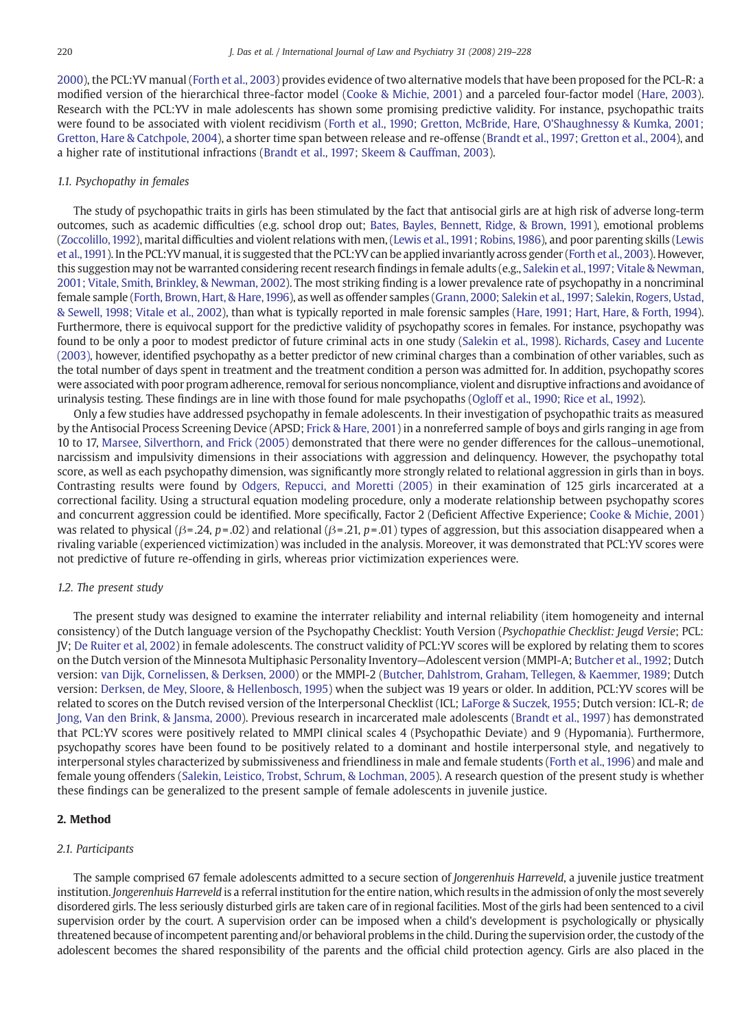[2000\)](#page-8-0), the PCL:YV manual [\(Forth et al., 2003\)](#page-8-0) provides evidence of two alternative models that have been proposed for the PCL-R: a modified version of the hierarchical three-factor model ([Cooke & Michie, 2001](#page-8-0)) and a parceled four-factor model ([Hare, 2003\)](#page-9-0). Research with the PCL:YV in male adolescents has shown some promising predictive validity. For instance, psychopathic traits were found to be associated with violent recidivism ([Forth et al., 1990; Gretton, McBride, Hare, O'Shaughnessy & Kumka, 2001;](#page-8-0) [Gretton, Hare & Catchpole, 2004\)](#page-8-0), a shorter time span between release and re-offense ([Brandt et al., 1997; Gretton et al., 2004](#page-8-0)), and a higher rate of institutional infractions [\(Brandt et al., 1997; Skeem & Cauffman, 2003\)](#page-8-0).

# 1.1. Psychopathy in females

The study of psychopathic traits in girls has been stimulated by the fact that antisocial girls are at high risk of adverse long-term outcomes, such as academic difficulties (e.g. school drop out; [Bates, Bayles, Bennett, Ridge, & Brown, 1991\)](#page-8-0), emotional problems [\(Zoccolillo, 1992\)](#page-9-0), marital difficulties and violent relations with men, ([Lewis et al., 1991; Robins, 1986\)](#page-9-0), and poor parenting skills [\(Lewis](#page-9-0) [et al.,1991](#page-9-0)). In the PCL:YV manual, it is suggested that the PCL:YV can be applied invariantly across gender [\(Forth et al., 2003](#page-8-0)). However, this suggestion may not be warranted considering recent research findings in female adults (e.g., [Salekin et al.,1997; Vitale & Newman,](#page-9-0) [2001; Vitale, Smith, Brinkley, & Newman, 2002\)](#page-9-0). The most striking finding is a lower prevalence rate of psychopathy in a noncriminal female sample ([Forth, Brown, Hart, & Hare,1996](#page-8-0)), as well as offender samples [\(Grann, 2000; Salekin et al., 1997; Salekin, Rogers, Ustad,](#page-9-0) [& Sewell, 1998; Vitale et al., 2002\)](#page-9-0), than what is typically reported in male forensic samples [\(Hare, 1991; Hart, Hare, & Forth, 1994\)](#page-9-0). Furthermore, there is equivocal support for the predictive validity of psychopathy scores in females. For instance, psychopathy was found to be only a poor to modest predictor of future criminal acts in one study ([Salekin et al., 1998\)](#page-9-0). [Richards, Casey and Lucente](#page-9-0) [\(2003\),](#page-9-0) however, identified psychopathy as a better predictor of new criminal charges than a combination of other variables, such as the total number of days spent in treatment and the treatment condition a person was admitted for. In addition, psychopathy scores were associated with poor program adherence, removal for serious noncompliance, violent and disruptive infractions and avoidance of urinalysis testing. These findings are in line with those found for male psychopaths [\(Ogloff et al., 1990; Rice et al., 1992\)](#page-9-0).

Only a few studies have addressed psychopathy in female adolescents. In their investigation of psychopathic traits as measured by the Antisocial Process Screening Device (APSD; [Frick & Hare, 2001](#page-8-0)) in a nonreferred sample of boys and girls ranging in age from 10 to 17, [Marsee, Silverthorn, and Frick \(2005\)](#page-9-0) demonstrated that there were no gender differences for the callous–unemotional, narcissism and impulsivity dimensions in their associations with aggression and delinquency. However, the psychopathy total score, as well as each psychopathy dimension, was significantly more strongly related to relational aggression in girls than in boys. Contrasting results were found by [Odgers, Repucci, and Moretti \(2005\)](#page-9-0) in their examination of 125 girls incarcerated at a correctional facility. Using a structural equation modeling procedure, only a moderate relationship between psychopathy scores and concurrent aggression could be identified. More specifically, Factor 2 (Deficient Affective Experience; [Cooke & Michie, 2001\)](#page-8-0) was related to physical ( $\beta$ = .24, p= .02) and relational ( $\beta$ = .21, p= .01) types of aggression, but this association disappeared when a rivaling variable (experienced victimization) was included in the analysis. Moreover, it was demonstrated that PCL:YV scores were not predictive of future re-offending in girls, whereas prior victimization experiences were.

### 1.2. The present study

The present study was designed to examine the interrater reliability and internal reliability (item homogeneity and internal consistency) of the Dutch language version of the Psychopathy Checklist: Youth Version (Psychopathie Checklist: Jeugd Versie; PCL: JV; [De Ruiter et al, 2002\)](#page-8-0) in female adolescents. The construct validity of PCL:YV scores will be explored by relating them to scores on the Dutch version of the Minnesota Multiphasic Personality Inventory—Adolescent version (MMPI-A; [Butcher et al., 1992](#page-8-0); Dutch version: [van Dijk, Cornelissen, & Derksen, 2000\)](#page-9-0) or the MMPI-2 [\(Butcher, Dahlstrom, Graham, Tellegen, & Kaemmer, 1989;](#page-8-0) Dutch version: [Derksen, de Mey, Sloore, & Hellenbosch, 1995\)](#page-8-0) when the subject was 19 years or older. In addition, PCL:YV scores will be related to scores on the Dutch revised version of the Interpersonal Checklist (ICL; [LaForge & Suczek, 1955;](#page-9-0) Dutch version: ICL-R; [de](#page-8-0) [Jong, Van den Brink, & Jansma, 2000](#page-8-0)). Previous research in incarcerated male adolescents ([Brandt et al., 1997\)](#page-8-0) has demonstrated that PCL:YV scores were positively related to MMPI clinical scales 4 (Psychopathic Deviate) and 9 (Hypomania). Furthermore, psychopathy scores have been found to be positively related to a dominant and hostile interpersonal style, and negatively to interpersonal styles characterized by submissiveness and friendliness in male and female students [\(Forth et al., 1996\)](#page-8-0) and male and female young offenders [\(Salekin, Leistico, Trobst, Schrum, & Lochman, 2005\)](#page-9-0). A research question of the present study is whether these findings can be generalized to the present sample of female adolescents in juvenile justice.

#### 2. Method

### 2.1. Participants

The sample comprised 67 female adolescents admitted to a secure section of *Iongerenhuis Harreveld*, a juvenile justice treatment institution. Jongerenhuis Harreveld is a referral institution for the entire nation, which results in the admission of only the most severely disordered girls. The less seriously disturbed girls are taken care of in regional facilities. Most of the girls had been sentenced to a civil supervision order by the court. A supervision order can be imposed when a child's development is psychologically or physically threatened because of incompetent parenting and/or behavioral problems in the child. During the supervision order, the custody of the adolescent becomes the shared responsibility of the parents and the official child protection agency. Girls are also placed in the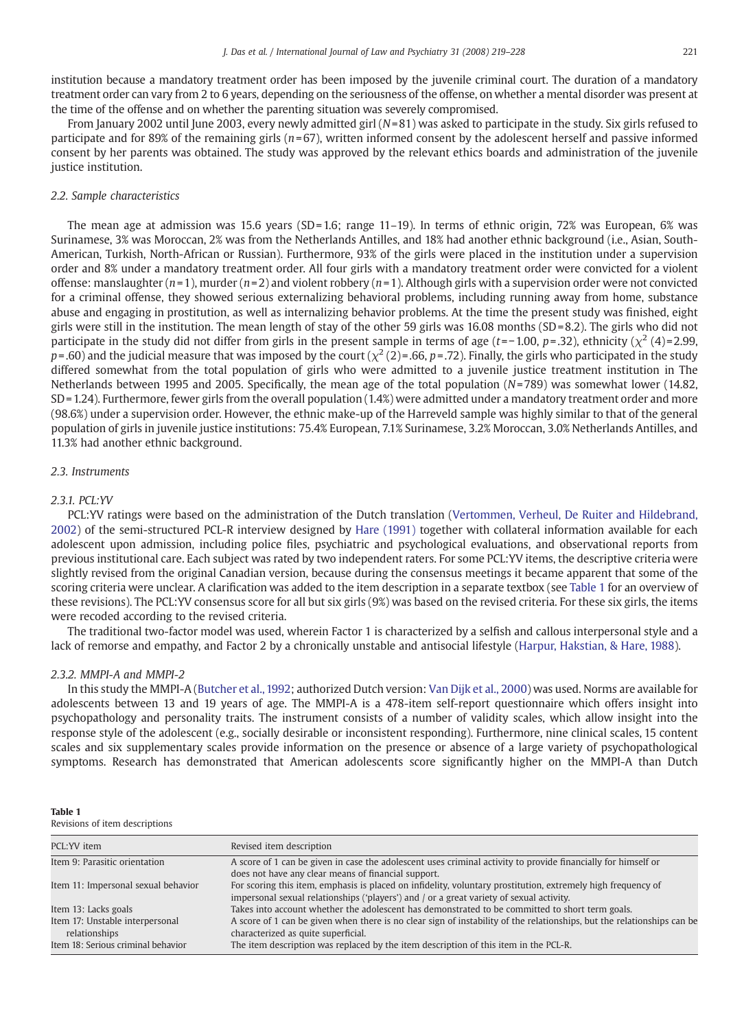institution because a mandatory treatment order has been imposed by the juvenile criminal court. The duration of a mandatory treatment order can vary from 2 to 6 years, depending on the seriousness of the offense, on whether a mental disorder was present at the time of the offense and on whether the parenting situation was severely compromised.

From January 2002 until June 2003, every newly admitted girl  $(N=81)$  was asked to participate in the study. Six girls refused to participate and for 89% of the remaining girls ( $n=67$ ), written informed consent by the adolescent herself and passive informed consent by her parents was obtained. The study was approved by the relevant ethics boards and administration of the juvenile justice institution.

# 2.2. Sample characteristics

The mean age at admission was 15.6 years (SD=1.6; range 11–19). In terms of ethnic origin, 72% was European, 6% was Surinamese, 3% was Moroccan, 2% was from the Netherlands Antilles, and 18% had another ethnic background (i.e., Asian, South-American, Turkish, North-African or Russian). Furthermore, 93% of the girls were placed in the institution under a supervision order and 8% under a mandatory treatment order. All four girls with a mandatory treatment order were convicted for a violent offense: manslaughter  $(n=1)$ , murder  $(n=2)$  and violent robbery  $(n=1)$ . Although girls with a supervision order were not convicted for a criminal offense, they showed serious externalizing behavioral problems, including running away from home, substance abuse and engaging in prostitution, as well as internalizing behavior problems. At the time the present study was finished, eight girls were still in the institution. The mean length of stay of the other 59 girls was  $16.08$  months  $(SD=8.2)$ . The girls who did not participate in the study did not differ from girls in the present sample in terms of age (t=−1.00, p= .32), ethnicity ( $\chi^2$  (4)=2.99,  $p = .60$ ) and the judicial measure that was imposed by the court ( $\chi^2$  (2) = .66, p = .72). Finally, the girls who participated in the study differed somewhat from the total population of girls who were admitted to a juvenile justice treatment institution in The Netherlands between 1995 and 2005. Specifically, the mean age of the total population  $(N=789)$  was somewhat lower (14.82, SD = 1.24). Furthermore, fewer girls from the overall population (1.4%) were admitted under a mandatory treatment order and more (98.6%) under a supervision order. However, the ethnic make-up of the Harreveld sample was highly similar to that of the general population of girls in juvenile justice institutions: 75.4% European, 7.1% Surinamese, 3.2% Moroccan, 3.0% Netherlands Antilles, and 11.3% had another ethnic background.

#### 2.3. Instruments

# 2.3.1. PCL:YV

PCL:YV ratings were based on the administration of the Dutch translation [\(Vertommen, Verheul, De Ruiter and Hildebrand,](#page-9-0) [2002](#page-9-0)) of the semi-structured PCL-R interview designed by [Hare \(1991\)](#page-9-0) together with collateral information available for each adolescent upon admission, including police files, psychiatric and psychological evaluations, and observational reports from previous institutional care. Each subject was rated by two independent raters. For some PCL:YV items, the descriptive criteria were slightly revised from the original Canadian version, because during the consensus meetings it became apparent that some of the scoring criteria were unclear. A clarification was added to the item description in a separate textbox (see Table 1 for an overview of these revisions). The PCL:YV consensus score for all but six girls (9%) was based on the revised criteria. For these six girls, the items were recoded according to the revised criteria.

The traditional two-factor model was used, wherein Factor 1 is characterized by a selfish and callous interpersonal style and a lack of remorse and empathy, and Factor 2 by a chronically unstable and antisocial lifestyle [\(Harpur, Hakstian, & Hare, 1988](#page-9-0)).

#### 2.3.2. MMPI-A and MMPI-2

In this study the MMPI-A [\(Butcher et al., 1992;](#page-8-0) authorized Dutch version: [Van Dijk et al., 2000\)](#page-9-0) was used. Norms are available for adolescents between 13 and 19 years of age. The MMPI-A is a 478-item self-report questionnaire which offers insight into psychopathology and personality traits. The instrument consists of a number of validity scales, which allow insight into the response style of the adolescent (e.g., socially desirable or inconsistent responding). Furthermore, nine clinical scales, 15 content scales and six supplementary scales provide information on the presence or absence of a large variety of psychopathological symptoms. Research has demonstrated that American adolescents score significantly higher on the MMPI-A than Dutch

Table 1

Revisions of item descriptions

| PCL:YV item                                                                            | Revised item description                                                                                                                                                                                                                               |
|----------------------------------------------------------------------------------------|--------------------------------------------------------------------------------------------------------------------------------------------------------------------------------------------------------------------------------------------------------|
| Item 9: Parasitic orientation                                                          | A score of 1 can be given in case the adolescent uses criminal activity to provide financially for himself or<br>does not have any clear means of financial support.                                                                                   |
| Item 11: Impersonal sexual behavior                                                    | For scoring this item, emphasis is placed on infidelity, voluntary prostitution, extremely high frequency of<br>impersonal sexual relationships ('players') and / or a great variety of sexual activity.                                               |
| Item 13: Lacks goals                                                                   | Takes into account whether the adolescent has demonstrated to be committed to short term goals.                                                                                                                                                        |
| Item 17: Unstable interpersonal<br>relationships<br>Item 18: Serious criminal behavior | A score of 1 can be given when there is no clear sign of instability of the relationships, but the relationships can be<br>characterized as quite superficial.<br>The item description was replaced by the item description of this item in the PCL-R. |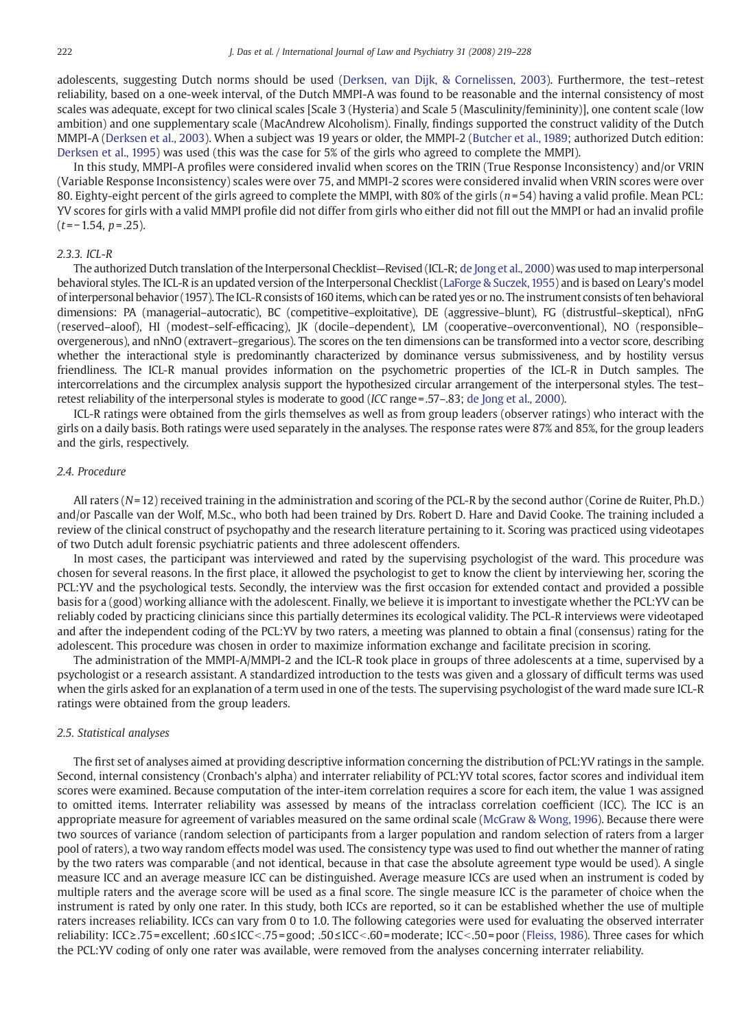adolescents, suggesting Dutch norms should be used [\(Derksen, van Dijk, & Cornelissen, 2003\)](#page-8-0). Furthermore, the test–retest reliability, based on a one-week interval, of the Dutch MMPI-A was found to be reasonable and the internal consistency of most scales was adequate, except for two clinical scales [Scale 3 (Hysteria) and Scale 5 (Masculinity/femininity)], one content scale (low ambition) and one supplementary scale (MacAndrew Alcoholism). Finally, findings supported the construct validity of the Dutch MMPI-A [\(Derksen et al., 2003\)](#page-8-0). When a subject was 19 years or older, the MMPI-2 ([Butcher et al., 1989](#page-8-0); authorized Dutch edition: [Derksen et al., 1995](#page-8-0)) was used (this was the case for 5% of the girls who agreed to complete the MMPI).

In this study, MMPI-A profiles were considered invalid when scores on the TRIN (True Response Inconsistency) and/or VRIN (Variable Response Inconsistency) scales were over 75, and MMPI-2 scores were considered invalid when VRIN scores were over 80. Eighty-eight percent of the girls agreed to complete the MMPI, with 80% of the girls ( $n=54$ ) having a valid profile. Mean PCL: YV scores for girls with a valid MMPI profile did not differ from girls who either did not fill out the MMPI or had an invalid profile  $(t=-1.54, p=.25)$ .

#### 2.3.3. ICL-R

The authorized Dutch translation of the Interpersonal Checklist—Revised (ICL-R; [de Jong et al., 2000\)](#page-8-0) was used to map interpersonal behavioral styles. The ICL-R is an updated version of the Interpersonal Checklist ([LaForge & Suczek, 1955](#page-9-0)) and is based on Leary's model of interpersonal behavior (1957). The ICL-R consists of 160 items, which can be rated yes or no. The instrument consists of ten behavioral dimensions: PA (managerial–autocratic), BC (competitive–exploitative), DE (aggressive–blunt), FG (distrustful–skeptical), nFnG (reserved–aloof), HI (modest–self-efficacing), JK (docile–dependent), LM (cooperative–overconventional), NO (responsible– overgenerous), and nNnO (extravert–gregarious). The scores on the ten dimensions can be transformed into a vector score, describing whether the interactional style is predominantly characterized by dominance versus submissiveness, and by hostility versus friendliness. The ICL-R manual provides information on the psychometric properties of the ICL-R in Dutch samples. The intercorrelations and the circumplex analysis support the hypothesized circular arrangement of the interpersonal styles. The test– retest reliability of the interpersonal styles is moderate to good (ICC range=.57–.83; [de Jong et al., 2000\)](#page-8-0).

ICL-R ratings were obtained from the girls themselves as well as from group leaders (observer ratings) who interact with the girls on a daily basis. Both ratings were used separately in the analyses. The response rates were 87% and 85%, for the group leaders and the girls, respectively.

#### 2.4. Procedure

All raters (N=12) received training in the administration and scoring of the PCL-R by the second author (Corine de Ruiter, Ph.D.) and/or Pascalle van der Wolf, M.Sc., who both had been trained by Drs. Robert D. Hare and David Cooke. The training included a review of the clinical construct of psychopathy and the research literature pertaining to it. Scoring was practiced using videotapes of two Dutch adult forensic psychiatric patients and three adolescent offenders.

In most cases, the participant was interviewed and rated by the supervising psychologist of the ward. This procedure was chosen for several reasons. In the first place, it allowed the psychologist to get to know the client by interviewing her, scoring the PCL:YV and the psychological tests. Secondly, the interview was the first occasion for extended contact and provided a possible basis for a (good) working alliance with the adolescent. Finally, we believe it is important to investigate whether the PCL:YV can be reliably coded by practicing clinicians since this partially determines its ecological validity. The PCL-R interviews were videotaped and after the independent coding of the PCL:YV by two raters, a meeting was planned to obtain a final (consensus) rating for the adolescent. This procedure was chosen in order to maximize information exchange and facilitate precision in scoring.

The administration of the MMPI-A/MMPI-2 and the ICL-R took place in groups of three adolescents at a time, supervised by a psychologist or a research assistant. A standardized introduction to the tests was given and a glossary of difficult terms was used when the girls asked for an explanation of a term used in one of the tests. The supervising psychologist of the ward made sure ICL-R ratings were obtained from the group leaders.

#### 2.5. Statistical analyses

The first set of analyses aimed at providing descriptive information concerning the distribution of PCL:YV ratings in the sample. Second, internal consistency (Cronbach's alpha) and interrater reliability of PCL:YV total scores, factor scores and individual item scores were examined. Because computation of the inter-item correlation requires a score for each item, the value 1 was assigned to omitted items. Interrater reliability was assessed by means of the intraclass correlation coefficient (ICC). The ICC is an appropriate measure for agreement of variables measured on the same ordinal scale [\(McGraw & Wong, 1996\)](#page-9-0). Because there were two sources of variance (random selection of participants from a larger population and random selection of raters from a larger pool of raters), a two way random effects model was used. The consistency type was used to find out whether the manner of rating by the two raters was comparable (and not identical, because in that case the absolute agreement type would be used). A single measure ICC and an average measure ICC can be distinguished. Average measure ICCs are used when an instrument is coded by multiple raters and the average score will be used as a final score. The single measure ICC is the parameter of choice when the instrument is rated by only one rater. In this study, both ICCs are reported, so it can be established whether the use of multiple raters increases reliability. ICCs can vary from 0 to 1.0. The following categories were used for evaluating the observed interrater reliability: ICC≥.75 = excellent; .60≤ICC<.75 = good; .50≤ICC<.60 = moderate; ICC<.50 = poor ([Fleiss, 1986\)](#page-8-0). Three cases for which the PCL:YV coding of only one rater was available, were removed from the analyses concerning interrater reliability.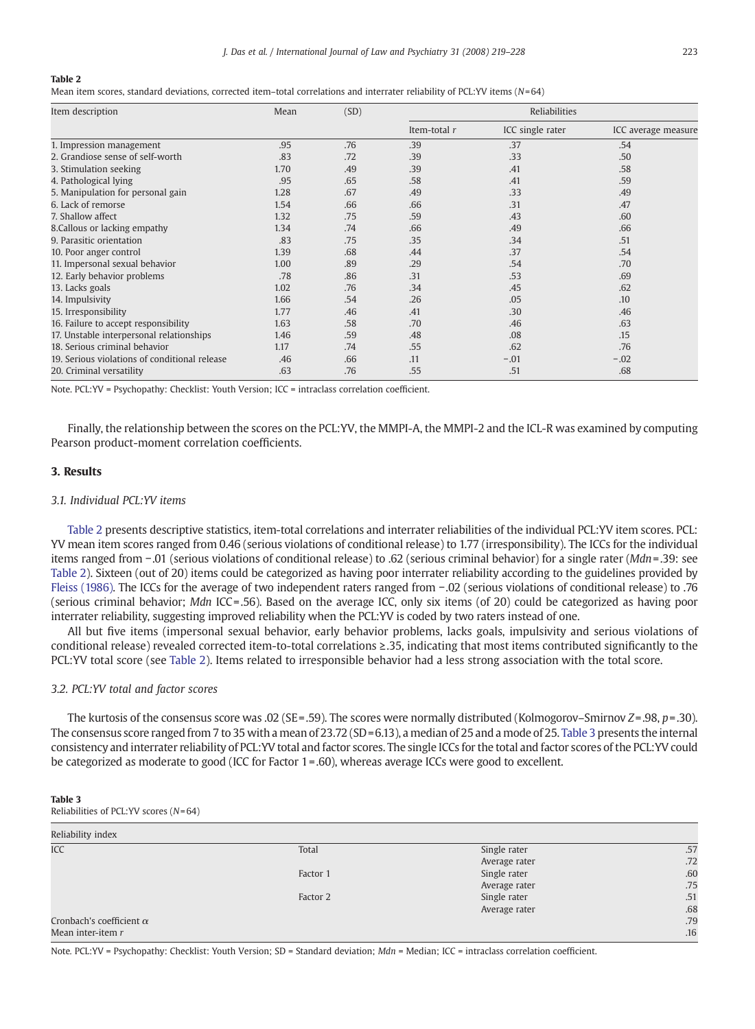#### Table 2

Mean item scores, standard deviations, corrected item-total correlations and interrater reliability of PCL:YV items (N=64)

| Item description                              | Mean | (SD) | Reliabilities |                  |                     |
|-----------------------------------------------|------|------|---------------|------------------|---------------------|
|                                               |      |      | Item-total r  | ICC single rater | ICC average measure |
| 1. Impression management                      | .95  | .76  | .39           | .37              | .54                 |
| 2. Grandiose sense of self-worth              | .83  | .72  | .39           | .33              | .50                 |
| 3. Stimulation seeking                        | 1.70 | .49  | .39           | .41              | .58                 |
| 4. Pathological lying                         | .95  | .65  | .58           | .41              | .59                 |
| 5. Manipulation for personal gain             | 1.28 | .67  | .49           | .33              | .49                 |
| 6. Lack of remorse                            | 1.54 | .66  | .66           | .31              | .47                 |
| 7. Shallow affect                             | 1.32 | .75  | .59           | .43              | .60                 |
| 8. Callous or lacking empathy                 | 1.34 | .74  | .66           | .49              | .66                 |
| 9. Parasitic orientation                      | .83  | .75  | .35           | 34               | .51                 |
| 10. Poor anger control                        | 1.39 | .68  | .44           | .37              | .54                 |
| 11. Impersonal sexual behavior                | 1.00 | .89  | .29           | .54              | .70                 |
| 12. Early behavior problems                   | .78  | .86  | .31           | .53              | .69                 |
| 13. Lacks goals                               | 1.02 | .76  | .34           | .45              | .62                 |
| 14. Impulsivity                               | 1.66 | .54  | .26           | .05              | .10                 |
| 15. Irresponsibility                          | 1.77 | .46  | .41           | .30              | .46                 |
| 16. Failure to accept responsibility          | 1.63 | .58  | .70           | .46              | .63                 |
| 17. Unstable interpersonal relationships      | 1.46 | .59  | .48           | .08              | .15                 |
| 18. Serious criminal behavior                 | 1.17 | .74  | .55           | .62              | .76                 |
| 19. Serious violations of conditional release | .46  | .66  | .11           | $-.01$           | $-.02$              |
| 20. Criminal versatility                      | .63  | .76  | .55           | .51              | .68                 |

Note. PCL:YV = Psychopathy: Checklist: Youth Version; ICC = intraclass correlation coefficient.

Finally, the relationship between the scores on the PCL:YV, the MMPI-A, the MMPI-2 and the ICL-R was examined by computing Pearson product-moment correlation coefficients.

# 3. Results

# 3.1. Individual PCL:YV items

Table 2 presents descriptive statistics, item-total correlations and interrater reliabilities of the individual PCL:YV item scores. PCL: YV mean item scores ranged from 0.46 (serious violations of conditional release) to 1.77 (irresponsibility). The ICCs for the individual items ranged from −.01 (serious violations of conditional release) to .62 (serious criminal behavior) for a single rater (Mdn=.39: see Table 2). Sixteen (out of 20) items could be categorized as having poor interrater reliability according to the guidelines provided by [Fleiss \(1986\)](#page-8-0). The ICCs for the average of two independent raters ranged from −.02 (serious violations of conditional release) to .76 (serious criminal behavior; Mdn ICC =.56). Based on the average ICC, only six items (of 20) could be categorized as having poor interrater reliability, suggesting improved reliability when the PCL:YV is coded by two raters instead of one.

All but five items (impersonal sexual behavior, early behavior problems, lacks goals, impulsivity and serious violations of conditional release) revealed corrected item-to-total correlations ≥.35, indicating that most items contributed significantly to the PCL:YV total score (see Table 2). Items related to irresponsible behavior had a less strong association with the total score.

# 3.2. PCL:YV total and factor scores

The kurtosis of the consensus score was .02 (SE=.59). The scores were normally distributed (Kolmogorov–Smirnov Z=.98, p=.30). The consensus score ranged from 7 to 35 with a mean of  $23.72$  (SD=6.13), a median of 25 and a mode of 25. Table 3 presents the internal consistency and interrater reliability of PCL:YV total and factor scores. The single ICCs for the total and factor scores of the PCL:YV could be categorized as moderate to good (ICC for Factor 1 =.60), whereas average ICCs were good to excellent.

| Table 3                                 |  |  |
|-----------------------------------------|--|--|
| Reliabilities of PCL:YV scores $(N=64)$ |  |  |

| Reliability index               |          |               |     |
|---------------------------------|----------|---------------|-----|
| <b>ICC</b>                      | Total    | Single rater  | .57 |
|                                 |          | Average rater | .72 |
|                                 | Factor 1 | Single rater  | .60 |
|                                 |          | Average rater | .75 |
|                                 | Factor 2 | Single rater  | .51 |
|                                 |          | Average rater | .68 |
| Cronbach's coefficient $\alpha$ |          |               | .79 |
| Mean inter-item r               |          |               | .16 |

Note. PCL:YV = Psychopathy: Checklist: Youth Version; SD = Standard deviation; Mdn = Median; ICC = intraclass correlation coefficient.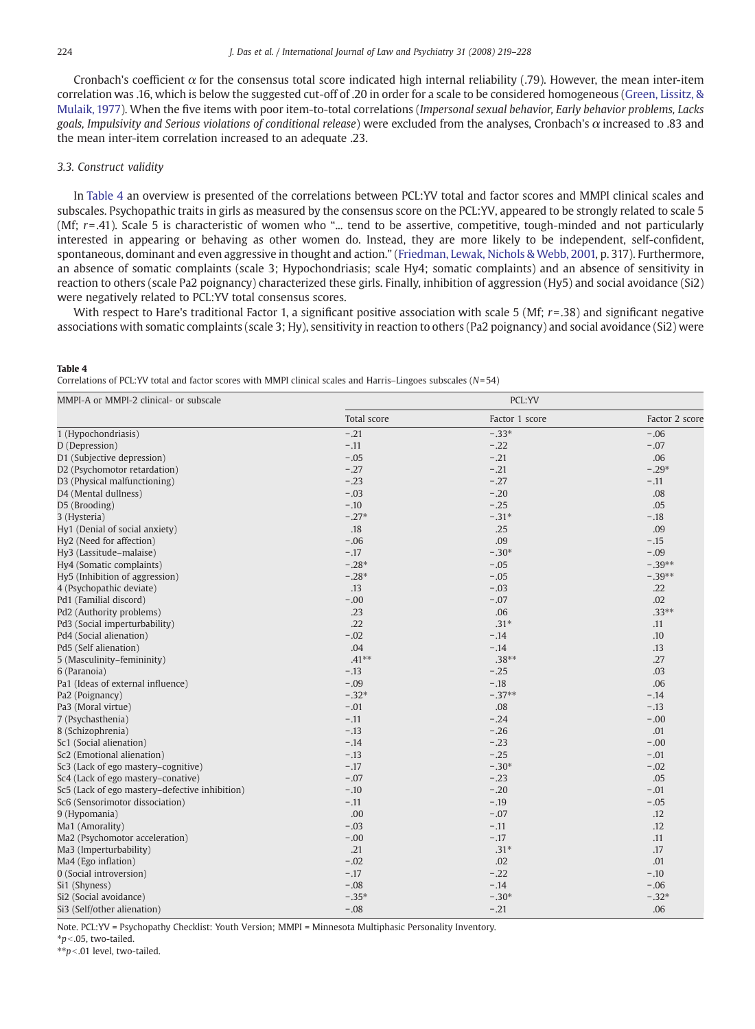Cronbach's coefficient  $\alpha$  for the consensus total score indicated high internal reliability (.79). However, the mean inter-item correlation was .16, which is below the suggested cut-off of .20 in order for a scale to be considered homogeneous ([Green, Lissitz, &](#page-9-0) [Mulaik, 1977](#page-9-0)). When the five items with poor item-to-total correlations (Impersonal sexual behavior, Early behavior problems, Lacks goals, Impulsivity and Serious violations of conditional release) were excluded from the analyses, Cronbach's α increased to .83 and the mean inter-item correlation increased to an adequate .23.

### 3.3. Construct validity

In Table 4 an overview is presented of the correlations between PCL:YV total and factor scores and MMPI clinical scales and subscales. Psychopathic traits in girls as measured by the consensus score on the PCL:YV, appeared to be strongly related to scale 5 (Mf;  $r=0.41$ ). Scale 5 is characteristic of women who "... tend to be assertive, competitive, tough-minded and not particularly interested in appearing or behaving as other women do. Instead, they are more likely to be independent, self-confident, spontaneous, dominant and even aggressive in thought and action." [\(Friedman, Lewak, Nichols & Webb, 2001,](#page-9-0) p. 317). Furthermore, an absence of somatic complaints (scale 3; Hypochondriasis; scale Hy4; somatic complaints) and an absence of sensitivity in reaction to others (scale Pa2 poignancy) characterized these girls. Finally, inhibition of aggression (Hy5) and social avoidance (Si2) were negatively related to PCL:YV total consensus scores.

With respect to Hare's traditional Factor 1, a significant positive association with scale 5 (Mf;  $r = 0.38$ ) and significant negative associations with somatic complaints (scale 3; Hy), sensitivity in reaction to others (Pa2 poignancy) and social avoidance (Si2) were

#### Table 4

Correlations of PCL:YV total and factor scores with MMPI clinical scales and Harris–Lingoes subscales (N= 54)

| MMPI-A or MMPI-2 clinical- or subscale         |             | PCL:YV         |                |
|------------------------------------------------|-------------|----------------|----------------|
|                                                | Total score | Factor 1 score | Factor 2 score |
| 1 (Hypochondriasis)                            | $-.21$      | $-0.33*$       | $-.06$         |
| D (Depression)                                 | $-.11$      | $-.22$         | $-.07$         |
| D1 (Subjective depression)                     | $-.05$      | $-.21$         | .06            |
| D2 (Psychomotor retardation)                   | $-.27$      | $-.21$         | $-.29*$        |
| D3 (Physical malfunctioning)                   | $-.23$      | $-.27$         | $-.11$         |
| D4 (Mental dullness)                           | $-.03$      | $-.20$         | .08            |
| D5 (Brooding)                                  | $-.10$      | $-.25$         | .05            |
| 3 (Hysteria)                                   | $-.27*$     | $-.31*$        | $-.18$         |
| Hy1 (Denial of social anxiety)                 | .18         | .25            | .09            |
| Hy2 (Need for affection)                       | $-.06$      | .09            | $-.15$         |
| Hy3 (Lassitude-malaise)                        | $-.17$      | $-.30*$        | $-.09$         |
| Hy4 (Somatic complaints)                       | $-.28*$     | $-.05$         | $-.39**$       |
| Hy5 (Inhibition of aggression)                 | $-.28*$     | $-.05$         | $-.39**$       |
| 4 (Psychopathic deviate)                       | .13         | $-.03$         | .22            |
| Pd1 (Familial discord)                         | $-.00$      | $-.07$         | .02            |
| Pd2 (Authority problems)                       | .23         | .06            | $.33**$        |
| Pd3 (Social imperturbability)                  | .22         | $.31*$         | .11            |
| Pd4 (Social alienation)                        | $-.02$      | $-.14$         | .10            |
| Pd5 (Self alienation)                          | .04         | $-.14$         | .13            |
| 5 (Masculinity-femininity)                     | $.41***$    | $.38**$        | .27            |
| 6 (Paranoia)                                   | $-.13$      | $-.25$         | .03            |
| Pa1 (Ideas of external influence)              | $-.09$      | $-.18$         | .06            |
| Pa2 (Poignancy)                                | $-.32*$     | $-37**$        | $-.14$         |
| Pa3 (Moral virtue)                             | $-.01$      | .08            | $-.13$         |
| 7 (Psychasthenia)                              | $-.11$      | $-.24$         | $-.00$         |
| 8 (Schizophrenia)                              | $-.13$      | $-.26$         | .01            |
| Sc1 (Social alienation)                        | $-.14$      | $-.23$         | $-.00$         |
| Sc2 (Emotional alienation)                     | $-.13$      | $-.25$         | $-.01$         |
| Sc3 (Lack of ego mastery-cognitive)            | $-.17$      | $-.30*$        | $-.02$         |
| Sc4 (Lack of ego mastery-conative)             | $-.07$      | $-.23$         | .05            |
| Sc5 (Lack of ego mastery-defective inhibition) | $-.10$      | $-.20$         | $-.01$         |
| Sc6 (Sensorimotor dissociation)                | $-.11$      | $-.19$         | $-.05$         |
| 9 (Hypomania)                                  | .00         | $-.07$         | .12            |
| Ma1 (Amorality)                                | $-.03$      | $-.11$         | .12            |
| Ma2 (Psychomotor acceleration)                 | $-.00$      | $-.17$         | .11            |
| Ma3 (Imperturbability)                         | .21         | $.31*$         | .17            |
| Ma4 (Ego inflation)                            | $-.02$      | .02            | .01            |
| 0 (Social introversion)                        | $-.17$      | $-.22$         | $-.10$         |
| Si1 (Shyness)                                  | $-.08$      | $-.14$         | $-.06$         |
| Si2 (Social avoidance)                         | $-.35*$     | $-.30*$        | $-.32*$        |
| Si3 (Self/other alienation)                    | $-.08$      | $-.21$         | .06            |

Note. PCL:YV = Psychopathy Checklist: Youth Version; MMPI = Minnesota Multiphasic Personality Inventory.

 $*p<.05$ , two-tailed.

 $\dot{m}$  = .01 level, two-tailed.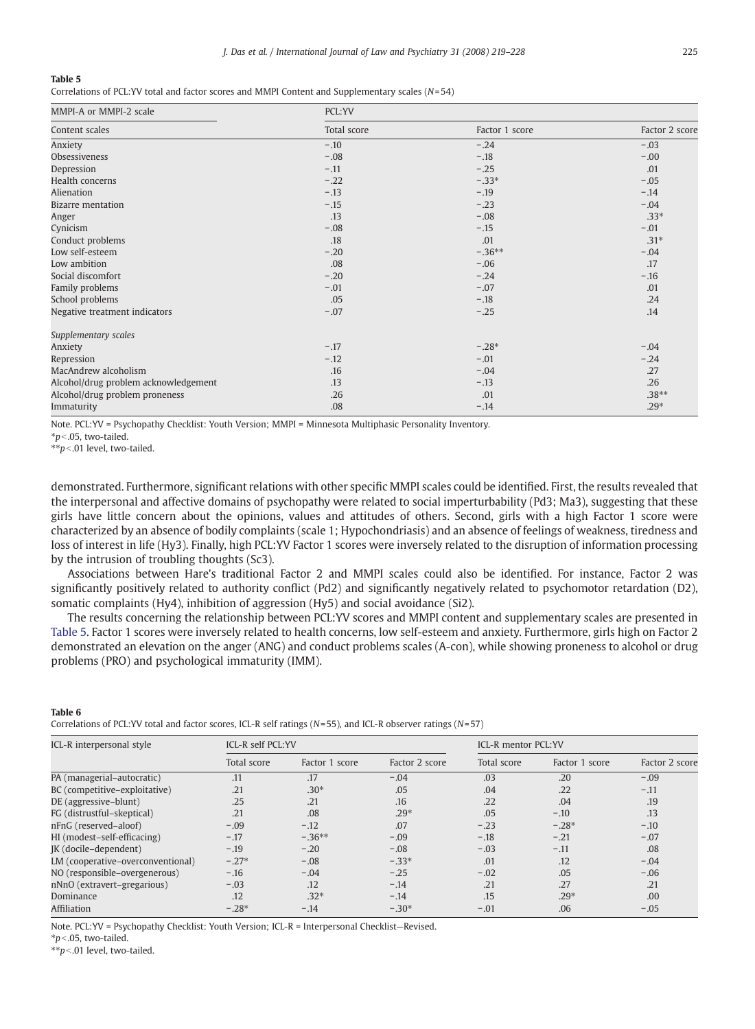#### <span id="page-6-0"></span>Table 5

Correlations of PCL:YV total and factor scores and MMPI Content and Supplementary scales (N= 54)

| MMPI-A or MMPI-2 scale               | PCL:YV      |                |                |  |  |
|--------------------------------------|-------------|----------------|----------------|--|--|
| Content scales                       | Total score | Factor 1 score | Factor 2 score |  |  |
| Anxiety                              | $-.10$      | $-.24$         | $-.03$         |  |  |
| <b>Obsessiveness</b>                 | $-.08$      | $-.18$         | $-.00$         |  |  |
| Depression                           | $-.11$      | $-.25$         | .01            |  |  |
| Health concerns                      | $-.22$      | $-.33*$        | $-.05$         |  |  |
| Alienation                           | $-.13$      | $-.19$         | $-.14$         |  |  |
| <b>Bizarre</b> mentation             | $-.15$      | $-.23$         | $-.04$         |  |  |
| Anger                                | .13         | $-.08$         | $.33*$         |  |  |
| Cynicism                             | $-.08$      | $-.15$         | $-.01$         |  |  |
| Conduct problems                     | .18         | .01            | $.31*$         |  |  |
| Low self-esteem                      | $-.20$      | $-0.36**$      | $-.04$         |  |  |
| Low ambition                         | .08         | $-.06$         | .17            |  |  |
| Social discomfort                    | $-.20$      | $-.24$         | $-.16$         |  |  |
| Family problems                      | $-.01$      | $-.07$         | .01            |  |  |
| School problems                      | .05         | $-.18$         | .24            |  |  |
| Negative treatment indicators        | $-.07$      | $-.25$         | .14            |  |  |
| Supplementary scales                 |             |                |                |  |  |
| Anxiety                              | $-.17$      | $-.28*$        | $-.04$         |  |  |
| Repression                           | $-.12$      | $-.01$         | $-.24$         |  |  |
| MacAndrew alcoholism                 | .16         | $-.04$         | .27            |  |  |
| Alcohol/drug problem acknowledgement | .13         | $-.13$         | .26            |  |  |
| Alcohol/drug problem proneness       | .26         | .01            | $.38**$        |  |  |
| Immaturity                           | .08         | $-.14$         | $.29*$         |  |  |

Note. PCL:YV = Psychopathy Checklist: Youth Version; MMPI = Minnesota Multiphasic Personality Inventory.

 $*<sub>p</sub>$  < 05, two-tailed.

 $**p<.01$  level, two-tailed.

demonstrated. Furthermore, significant relations with other specific MMPI scales could be identified. First, the results revealed that the interpersonal and affective domains of psychopathy were related to social imperturbability (Pd3; Ma3), suggesting that these girls have little concern about the opinions, values and attitudes of others. Second, girls with a high Factor 1 score were characterized by an absence of bodily complaints (scale 1; Hypochondriasis) and an absence of feelings of weakness, tiredness and loss of interest in life (Hy3). Finally, high PCL:YV Factor 1 scores were inversely related to the disruption of information processing by the intrusion of troubling thoughts (Sc3).

Associations between Hare's traditional Factor 2 and MMPI scales could also be identified. For instance, Factor 2 was significantly positively related to authority conflict (Pd2) and significantly negatively related to psychomotor retardation (D2), somatic complaints (Hy4), inhibition of aggression (Hy5) and social avoidance (Si2).

The results concerning the relationship between PCL:YV scores and MMPI content and supplementary scales are presented in Table 5. Factor 1 scores were inversely related to health concerns, low self-esteem and anxiety. Furthermore, girls high on Factor 2 demonstrated an elevation on the anger (ANG) and conduct problems scales (A-con), while showing proneness to alcohol or drug problems (PRO) and psychological immaturity (IMM).

#### Table 6

Correlations of PCL:YV total and factor scores, ICL-R self ratings ( $N=55$ ), and ICL-R observer ratings ( $N=57$ )

| ICL-R interpersonal style         | ICL-R self PCL:YV |                |                | ICL-R mentor PCL:YV |                |                |
|-----------------------------------|-------------------|----------------|----------------|---------------------|----------------|----------------|
|                                   | Total score       | Factor 1 score | Factor 2 score | Total score         | Factor 1 score | Factor 2 score |
| PA (managerial-autocratic)        | .11               | .17            | $-.04$         | .03                 | .20            | $-.09$         |
| BC (competitive-exploitative)     | .21               | $.30*$         | .05            | .04                 | .22            | $-.11$         |
| DE (aggressive-blunt)             | .25               | .21            | .16            | .22                 | .04            | .19            |
| FG (distrustful-skeptical)        | .21               | .08            | $.29*$         | .05                 | $-.10$         | .13            |
| nFnG (reserved-aloof)             | $-.09$            | $-.12$         | .07            | $-.23$              | $-.28*$        | $-.10$         |
| HI (modest-self-efficacing)       | $-.17$            | $-.36**$       | $-.09$         | $-.18$              | $-.21$         | $-.07$         |
| [K (docile-dependent)             | $-.19$            | $-.20$         | $-.08$         | $-.03$              | $-.11$         | .08            |
| LM (cooperative-overconventional) | $-.27*$           | $-.08$         | $-0.33*$       | .01                 | .12            | $-.04$         |
| NO (responsible-overgenerous)     | $-.16$            | $-.04$         | $-.25$         | $-.02$              | .05            | $-.06$         |
| nNnO (extravert-gregarious)       | $-.03$            | .12            | $-.14$         | .21                 | .27            | .21            |
| Dominance                         | .12               | $.32*$         | $-.14$         | .15                 | $.29*$         | .00            |
| Affiliation                       | $-.28*$           | $-.14$         | $-30*$         | $-.01$              | .06            | $-.05$         |

Note. PCL:YV = Psychopathy Checklist: Youth Version; ICL-R = Interpersonal Checklist—Revised.

 $*p<.05$ , two-tailed.

 $**p<.01$  level, two-tailed.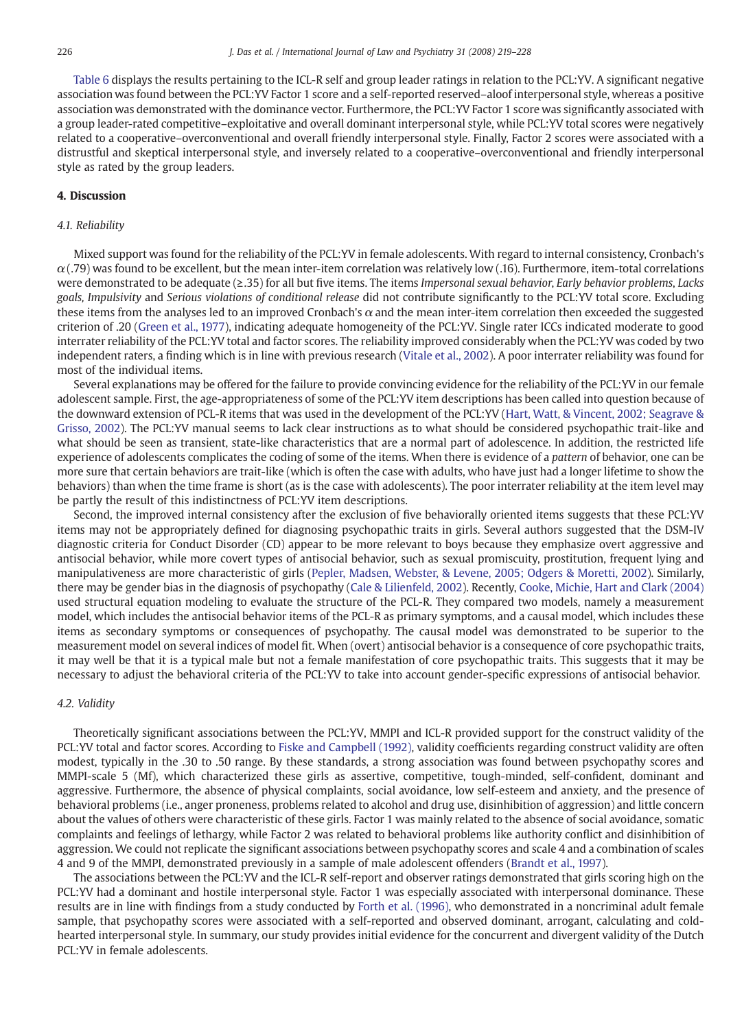[Table 6](#page-6-0) displays the results pertaining to the ICL-R self and group leader ratings in relation to the PCL:YV. A significant negative association was found between the PCL:YV Factor 1 score and a self-reported reserved–aloof interpersonal style, whereas a positive association was demonstrated with the dominance vector. Furthermore, the PCL:YV Factor 1 score was significantly associated with a group leader-rated competitive–exploitative and overall dominant interpersonal style, while PCL:YV total scores were negatively related to a cooperative–overconventional and overall friendly interpersonal style. Finally, Factor 2 scores were associated with a distrustful and skeptical interpersonal style, and inversely related to a cooperative–overconventional and friendly interpersonal style as rated by the group leaders.

# 4. Discussion

#### 4.1. Reliability

Mixed support was found for the reliability of the PCL:YV in female adolescents. With regard to internal consistency, Cronbach's  $\alpha$ (.79) was found to be excellent, but the mean inter-item correlation was relatively low (.16). Furthermore, item-total correlations were demonstrated to be adequate (≥.35) for all but five items. The items Impersonal sexual behavior, Early behavior problems, Lacks goals, Impulsivity and Serious violations of conditional release did not contribute significantly to the PCL:YV total score. Excluding these items from the analyses led to an improved Cronbach's  $\alpha$  and the mean inter-item correlation then exceeded the suggested criterion of .20 ([Green et al., 1977](#page-9-0)), indicating adequate homogeneity of the PCL:YV. Single rater ICCs indicated moderate to good interrater reliability of the PCL:YV total and factor scores. The reliability improved considerably when the PCL:YV was coded by two independent raters, a finding which is in line with previous research ([Vitale et al., 2002\)](#page-9-0). A poor interrater reliability was found for most of the individual items.

Several explanations may be offered for the failure to provide convincing evidence for the reliability of the PCL:YV in our female adolescent sample. First, the age-appropriateness of some of the PCL:YV item descriptions has been called into question because of the downward extension of PCL-R items that was used in the development of the PCL:YV ([Hart, Watt, & Vincent, 2002; Seagrave &](#page-9-0) [Grisso, 2002\)](#page-9-0). The PCL:YV manual seems to lack clear instructions as to what should be considered psychopathic trait-like and what should be seen as transient, state-like characteristics that are a normal part of adolescence. In addition, the restricted life experience of adolescents complicates the coding of some of the items. When there is evidence of a pattern of behavior, one can be more sure that certain behaviors are trait-like (which is often the case with adults, who have just had a longer lifetime to show the behaviors) than when the time frame is short (as is the case with adolescents). The poor interrater reliability at the item level may be partly the result of this indistinctness of PCL:YV item descriptions.

Second, the improved internal consistency after the exclusion of five behaviorally oriented items suggests that these PCL:YV items may not be appropriately defined for diagnosing psychopathic traits in girls. Several authors suggested that the DSM-IV diagnostic criteria for Conduct Disorder (CD) appear to be more relevant to boys because they emphasize overt aggressive and antisocial behavior, while more covert types of antisocial behavior, such as sexual promiscuity, prostitution, frequent lying and manipulativeness are more characteristic of girls ([Pepler, Madsen, Webster, & Levene, 2005; Odgers & Moretti, 2002\)](#page-9-0). Similarly, there may be gender bias in the diagnosis of psychopathy ([Cale & Lilienfeld, 2002](#page-8-0)). Recently, [Cooke, Michie, Hart and Clark \(2004\)](#page-8-0) used structural equation modeling to evaluate the structure of the PCL-R. They compared two models, namely a measurement model, which includes the antisocial behavior items of the PCL-R as primary symptoms, and a causal model, which includes these items as secondary symptoms or consequences of psychopathy. The causal model was demonstrated to be superior to the measurement model on several indices of model fit. When (overt) antisocial behavior is a consequence of core psychopathic traits, it may well be that it is a typical male but not a female manifestation of core psychopathic traits. This suggests that it may be necessary to adjust the behavioral criteria of the PCL:YV to take into account gender-specific expressions of antisocial behavior.

#### 4.2. Validity

Theoretically significant associations between the PCL:YV, MMPI and ICL-R provided support for the construct validity of the PCL:YV total and factor scores. According to [Fiske and Campbell \(1992\),](#page-8-0) validity coefficients regarding construct validity are often modest, typically in the .30 to .50 range. By these standards, a strong association was found between psychopathy scores and MMPI-scale 5 (Mf), which characterized these girls as assertive, competitive, tough-minded, self-confident, dominant and aggressive. Furthermore, the absence of physical complaints, social avoidance, low self-esteem and anxiety, and the presence of behavioral problems (i.e., anger proneness, problems related to alcohol and drug use, disinhibition of aggression) and little concern about the values of others were characteristic of these girls. Factor 1 was mainly related to the absence of social avoidance, somatic complaints and feelings of lethargy, while Factor 2 was related to behavioral problems like authority conflict and disinhibition of aggression. We could not replicate the significant associations between psychopathy scores and scale 4 and a combination of scales 4 and 9 of the MMPI, demonstrated previously in a sample of male adolescent offenders [\(Brandt et al., 1997\)](#page-8-0).

The associations between the PCL:YV and the ICL-R self-report and observer ratings demonstrated that girls scoring high on the PCL:YV had a dominant and hostile interpersonal style. Factor 1 was especially associated with interpersonal dominance. These results are in line with findings from a study conducted by [Forth et al. \(1996\)](#page-8-0), who demonstrated in a noncriminal adult female sample, that psychopathy scores were associated with a self-reported and observed dominant, arrogant, calculating and coldhearted interpersonal style. In summary, our study provides initial evidence for the concurrent and divergent validity of the Dutch PCL:YV in female adolescents.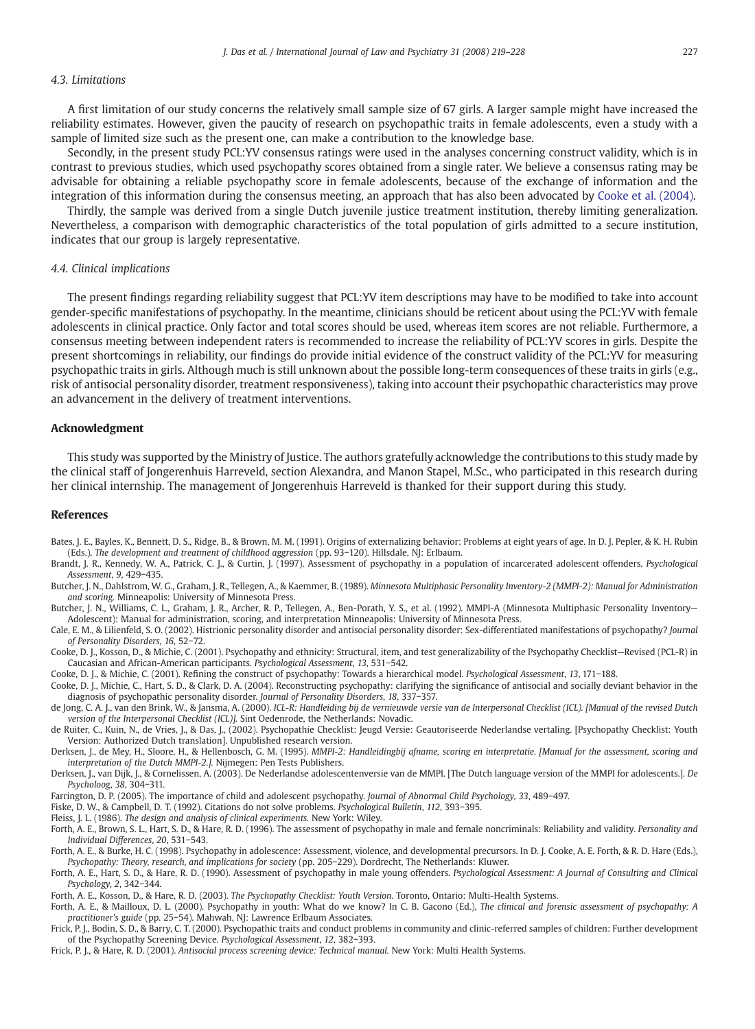# <span id="page-8-0"></span>4.3. Limitations

A first limitation of our study concerns the relatively small sample size of 67 girls. A larger sample might have increased the reliability estimates. However, given the paucity of research on psychopathic traits in female adolescents, even a study with a sample of limited size such as the present one, can make a contribution to the knowledge base.

Secondly, in the present study PCL:YV consensus ratings were used in the analyses concerning construct validity, which is in contrast to previous studies, which used psychopathy scores obtained from a single rater. We believe a consensus rating may be advisable for obtaining a reliable psychopathy score in female adolescents, because of the exchange of information and the integration of this information during the consensus meeting, an approach that has also been advocated by Cooke et al. (2004).

Thirdly, the sample was derived from a single Dutch juvenile justice treatment institution, thereby limiting generalization. Nevertheless, a comparison with demographic characteristics of the total population of girls admitted to a secure institution, indicates that our group is largely representative.

#### 4.4. Clinical implications

The present findings regarding reliability suggest that PCL:YV item descriptions may have to be modified to take into account gender-specific manifestations of psychopathy. In the meantime, clinicians should be reticent about using the PCL:YV with female adolescents in clinical practice. Only factor and total scores should be used, whereas item scores are not reliable. Furthermore, a consensus meeting between independent raters is recommended to increase the reliability of PCL:YV scores in girls. Despite the present shortcomings in reliability, our findings do provide initial evidence of the construct validity of the PCL:YV for measuring psychopathic traits in girls. Although much is still unknown about the possible long-term consequences of these traits in girls (e.g., risk of antisocial personality disorder, treatment responsiveness), taking into account their psychopathic characteristics may prove an advancement in the delivery of treatment interventions.

### Acknowledgment

This study was supported by the Ministry of Justice. The authors gratefully acknowledge the contributions to this study made by the clinical staff of Jongerenhuis Harreveld, section Alexandra, and Manon Stapel, M.Sc., who participated in this research during her clinical internship. The management of Jongerenhuis Harreveld is thanked for their support during this study.

#### References

- Bates, J. E., Bayles, K., Bennett, D. S., Ridge, B., & Brown, M. M. (1991). Origins of externalizing behavior: Problems at eight years of age. In D. J. Pepler, & K. H. Rubin (Eds.), The development and treatment of childhood aggression (pp. 93−120). Hillsdale, NJ: Erlbaum.
- Brandt, J. R., Kennedy, W. A., Patrick, C. J., & Curtin, J. (1997). Assessment of psychopathy in a population of incarcerated adolescent offenders. Psychological Assessment, 9, 429−435.
- Butcher, J. N., Dahlstrom, W. G., Graham, J. R., Tellegen, A., & Kaemmer, B. (1989). Minnesota Multiphasic Personality Inventory-2 (MMPI-2): Manual for Administration and scoring. Minneapolis: University of Minnesota Press.
- Butcher, J. N., Williams, C. L., Graham, J. R., Archer, R. P., Tellegen, A., Ben-Porath, Y. S., et al. (1992). MMPI-A (Minnesota Multiphasic Personality Inventory— Adolescent): Manual for administration, scoring, and interpretation Minneapolis: University of Minnesota Press.
- Cale, E. M., & Lilienfeld, S. O. (2002). Histrionic personality disorder and antisocial personality disorder: Sex-differentiated manifestations of psychopathy? Journal of Personality Disorders, 16, 52−72.
- Cooke, D. J., Kosson, D., & Michie, C. (2001). Psychopathy and ethnicity: Structural, item, and test generalizability of the Psychopathy Checklist—Revised (PCL-R) in Caucasian and African-American participants. Psychological Assessment, 13, 531−542.
- Cooke, D. J., & Michie, C. (2001). Refining the construct of psychopathy: Towards a hierarchical model. Psychological Assessment, 13, 171−188.
- Cooke, D. J., Michie, C., Hart, S. D., & Clark, D. A. (2004). Reconstructing psychopathy: clarifying the significance of antisocial and socially deviant behavior in the diagnosis of psychopathic personality disorder. Journal of Personality Disorders, 18, 337−357.
- de Jong, C. A. J., van den Brink, W., & Jansma, A. (2000). ICL-R: Handleiding bij de vernieuwde versie van de Interpersonal Checklist (ICL). [Manual of the revised Dutch version of the Interpersonal Checklist (ICL)]. Sint Oedenrode, the Netherlands: Novadic.
- de Ruiter, C., Kuin, N., de Vries, J., & Das, J., (2002). Psychopathie Checklist: Jeugd Versie: Geautoriseerde Nederlandse vertaling. [Psychopathy Checklist: Youth Version: Authorized Dutch translation]. Unpublished research version.
- Derksen, J., de Mey, H., Sloore, H., & Hellenbosch, G. M. (1995). MMPI-2: Handleidingbij afname, scoring en interpretatie. [Manual for the assessment, scoring and interpretation of the Dutch MMPI-2.]. Nijmegen: Pen Tests Publishers.
- Derksen, J., van Dijk, J., & Cornelissen, A. (2003). De Nederlandse adolescentenversie van de MMPI. [The Dutch language version of the MMPI for adolescents.]. De Psycholoog, 38, 304−311.

Farrington, D. P. (2005). The importance of child and adolescent psychopathy. Journal of Abnormal Child Psychology, 33, 489−497.

- Fiske, D. W., & Campbell, D. T. (1992). Citations do not solve problems. Psychological Bulletin, 112, 393−395.
- Fleiss, J. L. (1986). The design and analysis of clinical experiments. New York: Wiley.
- Forth, A. E., Brown, S. L., Hart, S. D., & Hare, R. D. (1996). The assessment of psychopathy in male and female noncriminals: Reliability and validity. Personality and Individual Differences, 20, 531−543.
- Forth, A. E., & Burke, H. C. (1998). Psychopathy in adolescence: Assessment, violence, and developmental precursors. In D. J. Cooke, A. E. Forth, & R. D. Hare (Eds.), Psychopathy: Theory, research, and implications for society (pp. 205−229). Dordrecht, The Netherlands: Kluwer.
- Forth, A. E., Hart, S. D., & Hare, R. D. (1990). Assessment of psychopathy in male young offenders. Psychological Assessment: A Journal of Consulting and Clinical Psychology, 2, 342−344.
- Forth, A. E., Kosson, D., & Hare, R. D. (2003). The Psychopathy Checklist: Youth Version. Toronto, Ontario: Multi-Health Systems.
- Forth, A. E., & Mailloux, D. L. (2000). Psychopathy in youth: What do we know? In C. B. Gacono (Ed.), The clinical and forensic assessment of psychopathy: A practitioner's guide (pp. 25−54). Mahwah, NJ: Lawrence Erlbaum Associates.
- Frick, P. J., Bodin, S. D., & Barry, C. T. (2000). Psychopathic traits and conduct problems in community and clinic-referred samples of children: Further development of the Psychopathy Screening Device. Psychological Assessment, 12, 382−393.
- Frick, P. J., & Hare, R. D. (2001). Antisocial process screening device: Technical manual. New York: Multi Health Systems.